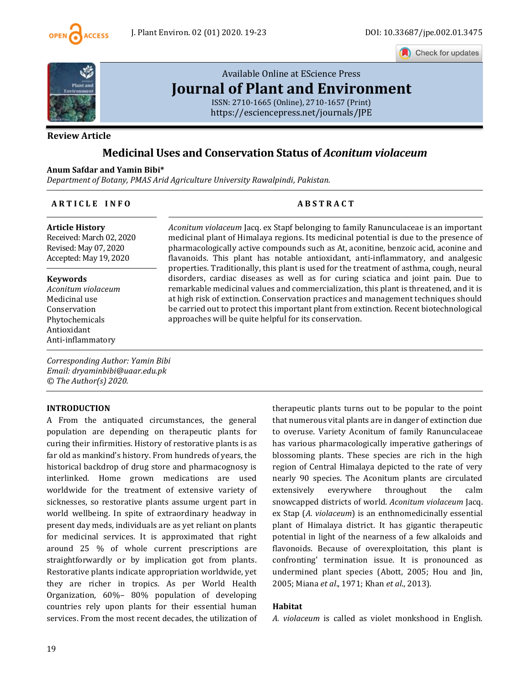

Check for updates



# [Available Online at EScience Press](https://esciencepress.net/journals/JPE) **[Journal of Plant and Environment](https://esciencepress.net/journals/JPE)**

ISSN: 2710-1665 (Online), 2710-1657 (Print) <https://esciencepress.net/journals/JPE>

## **Review Article**

## **Medicinal Uses and Conservation Status of** *Aconitum violaceum*

**Anum Safdar and Yamin Bibi\*** *Department of Botany, PMAS Arid Agriculture University Rawalpindi, Pakistan.*

#### **A R T I C L E I N F O A B S T R A C T**

#### **Article History**

Received: March 02, 2020 Revised: May 07, 2020 Accepted: May 19, 2020

#### **Keywords**

*Aconitum violaceum* Medicinal use Conservation Phytochemicals Antioxidant Anti-inflammatory

*Corresponding Author: Yamin Bibi Email: dryaminbibi@uaar.edu.pk © The Author(s) 2020.*

#### **INTRODUCTION**

A From the antiquated circumstances, the general population are depending on therapeutic plants for curing their infirmities. History of restorative plants is as far old as mankind's history. From hundreds of years, the historical backdrop of drug store and pharmacognosy is interlinked. Home grown medications are used worldwide for the treatment of extensive variety of sicknesses, so restorative plants assume urgent part in world wellbeing. In spite of extraordinary headway in present day meds, individuals are as yet reliant on plants for medicinal services. It is approximated that right around 25 % of whole current prescriptions are straightforwardly or by implication got from plants. Restorative plants indicate appropriation worldwide, yet they are richer in tropics. As per World Health Organization, 60%– 80% population of developing countries rely upon plants for their essential human services. From the most recent decades, the utilization of

#### *Aconitum violaceum* Jacq. ex Stapf belonging to family Ranunculaceae is an important medicinal plant of Himalaya regions. Its medicinal potential is due to the presence of pharmacologically active compounds such as At, aconitine, benzoic acid, aconine and flavanoids. This plant has notable antioxidant, anti-inflammatory, and analgesic properties. Traditionally, this plant is used for the treatment of asthma, cough, neural disorders, cardiac diseases as well as for curing sciatica and joint pain. Due to remarkable medicinal values and commercialization, this plant is threatened, and it is at high risk of extinction. Conservation practices and management techniques should be carried out to protect this important plant from extinction. Recent biotechnological approaches will be quite helpful for its conservation.

therapeutic plants turns out to be popular to the point that numerous vital plants are in danger of extinction due to overuse. Variety Aconitum of family Ranunculaceae has various pharmacologically imperative gatherings of blossoming plants. These species are rich in the high region of Central Himalaya depicted to the rate of very nearly 90 species. The Aconitum plants are circulated extensively everywhere throughout the calm snowcapped districts of world. *Aconitum violaceum* Jacq. ex Stap (*A. violaceum*) is an enthnomedicinally essential plant of Himalaya district. It has gigantic therapeutic potential in light of the nearness of a few alkaloids and flavonoids. Because of overexploitation, this plant is confronting' termination issue. It is pronounced as undermined plant species (Abott, 2005; Hou and Jin, 2005; Miana *et al*., 1971; Khan *et al*., 2013).

#### **Habitat**

*A. violaceum* is called as violet monkshood in English.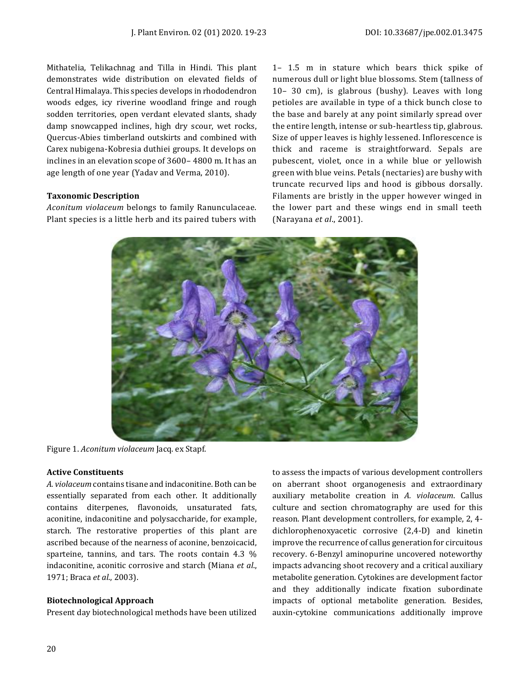Mithatelia, Telikachnag and Tilla in Hindi. This plant demonstrates wide distribution on elevated fields of Central Himalaya. This species develops in rhododendron woods edges, icy riverine woodland fringe and rough sodden territories, open verdant elevated slants, shady damp snowcapped inclines, high dry scour, wet rocks, Quercus-Abies timberland outskirts and combined with Carex nubigena-Kobresia duthiei groups. It develops on inclines in an elevation scope of 3600– 4800 m. It has an age length of one year (Yadav and Verma, 2010).

## **Taxonomic Description**

*Aconitum violaceum* belongs to family Ranunculaceae. Plant species is a little herb and its paired tubers with 1– 1.5 m in stature which bears thick spike of numerous dull or light blue blossoms. Stem (tallness of 10– 30 cm), is glabrous (bushy). Leaves with long petioles are available in type of a thick bunch close to the base and barely at any point similarly spread over the entire length, intense or sub-heartless tip, glabrous. Size of upper leaves is highly lessened. Inflorescence is thick and raceme is straightforward. Sepals are pubescent, violet, once in a while blue or yellowish green with blue veins. Petals (nectaries) are bushy with truncate recurved lips and hood is gibbous dorsally. Filaments are bristly in the upper however winged in the lower part and these wings end in small teeth (Narayana *et al*., 2001).



Figure 1. *Aconitum violaceum* Jacq. ex Stapf.

#### **Active Constituents**

*A. violaceum* contains tisane and indaconitine. Both can be essentially separated from each other. It additionally contains diterpenes, flavonoids, unsaturated fats, aconitine, indaconitine and polysaccharide, for example, starch. The restorative properties of this plant are ascribed because of the nearness of aconine, benzoicacid, sparteine, tannins, and tars. The roots contain 4.3 % indaconitine, aconitic corrosive and starch (Miana *et al*., 1971; Braca *et al*., 2003).

#### **Biotechnological Approach**

Present day biotechnological methods have been utilized

to assess the impacts of various development controllers on aberrant shoot organogenesis and extraordinary auxiliary metabolite creation in *A. violaceum*. Callus culture and section chromatography are used for this reason. Plant development controllers, for example, 2, 4 dichlorophenoxyacetic corrosive (2,4-D) and kinetin improve the recurrence of callus generation for circuitous recovery. 6-Benzyl aminopurine uncovered noteworthy impacts advancing shoot recovery and a critical auxiliary metabolite generation. Cytokines are development factor and they additionally indicate fixation subordinate impacts of optional metabolite generation. Besides, auxin-cytokine communications additionally improve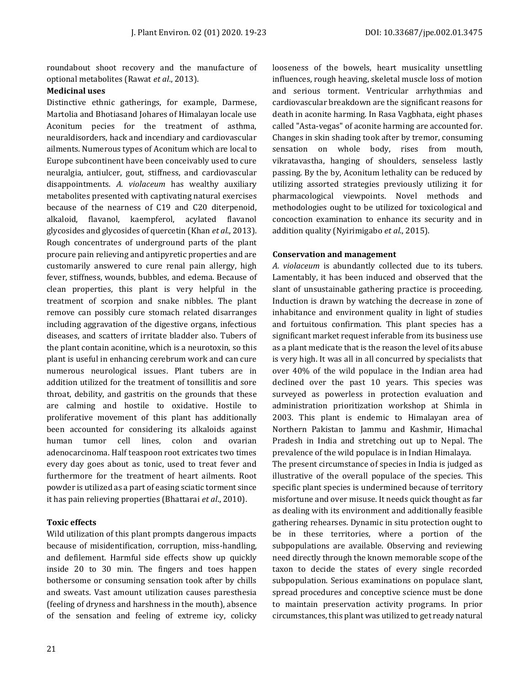roundabout shoot recovery and the manufacture of optional metabolites (Rawat *et al*., 2013).

## **Medicinal uses**

Distinctive ethnic gatherings, for example, Darmese, Martolia and Bhotiasand Johares of Himalayan locale use Aconitum pecies for the treatment of asthma, neuraldisorders, hack and incendiary and cardiovascular ailments. Numerous types of Aconitum which are local to Europe subcontinent have been conceivably used to cure neuralgia, antiulcer, gout, stiffness, and cardiovascular disappointments. *A. violaceum* has wealthy auxiliary metabolites presented with captivating natural exercises because of the nearness of C19 and C20 diterpenoid, alkaloid, flavanol, kaempferol, acylated flavanol glycosides and glycosides of quercetin (Khan *et al*., 2013). Rough concentrates of underground parts of the plant procure pain relieving and antipyretic properties and are customarily answered to cure renal pain allergy, high fever, stiffness, wounds, bubbles, and edema. Because of clean properties, this plant is very helpful in the treatment of scorpion and snake nibbles. The plant remove can possibly cure stomach related disarranges including aggravation of the digestive organs, infectious diseases, and scatters of irritate bladder also. Tubers of the plant contain aconitine, which is a neurotoxin, so this plant is useful in enhancing cerebrum work and can cure numerous neurological issues. Plant tubers are in addition utilized for the treatment of tonsillitis and sore throat, debility, and gastritis on the grounds that these are calming and hostile to oxidative. Hostile to proliferative movement of this plant has additionally been accounted for considering its alkaloids against human tumor cell lines, colon and ovarian adenocarcinoma. Half teaspoon root extricates two times every day goes about as tonic, used to treat fever and furthermore for the treatment of heart ailments. Root powder is utilized as a part of easing sciatic torment since it has pain relieving properties (Bhattarai *et al*., 2010).

## **Toxic effects**

Wild utilization of this plant prompts dangerous impacts because of misidentification, corruption, miss-handling, and defilement. Harmful side effects show up quickly inside 20 to 30 min. The fingers and toes happen bothersome or consuming sensation took after by chills and sweats. Vast amount utilization causes paresthesia (feeling of dryness and harshness in the mouth), absence of the sensation and feeling of extreme icy, colicky looseness of the bowels, heart musicality unsettling influences, rough heaving, skeletal muscle loss of motion and serious torment. Ventricular arrhythmias and cardiovascular breakdown are the significant reasons for death in aconite harming. In Rasa Vagbhata, eight phases called "Asta-vegas" of aconite harming are accounted for. Changes in skin shading took after by tremor, consuming sensation on whole body, rises from mouth, vikratavastha, hanging of shoulders, senseless lastly passing. By the by, Aconitum lethality can be reduced by utilizing assorted strategies previously utilizing it for pharmacological viewpoints. Novel methods and methodologies ought to be utilized for toxicological and concoction examination to enhance its security and in addition quality (Nyirimigabo *et al*., 2015).

## **Conservation and management**

*A. violaceum* is abundantly collected due to its tubers. Lamentably, it has been induced and observed that the slant of unsustainable gathering practice is proceeding. Induction is drawn by watching the decrease in zone of inhabitance and environment quality in light of studies and fortuitous confirmation. This plant species has a significant market request inferable from its business use as a plant medicate that is the reason the level of its abuse is very high. It was all in all concurred by specialists that over 40% of the wild populace in the Indian area had declined over the past 10 years. This species was surveyed as powerless in protection evaluation and administration prioritization workshop at Shimla in 2003. This plant is endemic to Himalayan area of Northern Pakistan to Jammu and Kashmir, Himachal Pradesh in India and stretching out up to Nepal. The prevalence of the wild populace is in Indian Himalaya.

The present circumstance of species in India is judged as illustrative of the overall populace of the species. This specific plant species is undermined because of territory misfortune and over misuse. It needs quick thought as far as dealing with its environment and additionally feasible gathering rehearses. Dynamic in situ protection ought to be in these territories, where a portion of the subpopulations are available. Observing and reviewing need directly through the known memorable scope of the taxon to decide the states of every single recorded subpopulation. Serious examinations on populace slant, spread procedures and conceptive science must be done to maintain preservation activity programs. In prior circumstances, this plant was utilized to get ready natural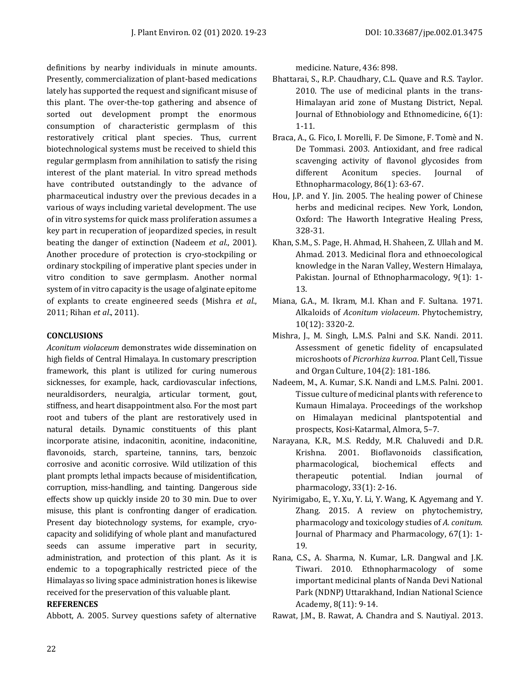definitions by nearby individuals in minute amounts. Presently, commercialization of plant-based medications lately has supported the request and significant misuse of this plant. The over-the-top gathering and absence of sorted out development prompt the enormous consumption of characteristic germplasm of this restoratively critical plant species. Thus, current biotechnological systems must be received to shield this regular germplasm from annihilation to satisfy the rising interest of the plant material. In vitro spread methods have contributed outstandingly to the advance of pharmaceutical industry over the previous decades in a various of ways including varietal development. The use of in vitro systems for quick mass proliferation assumes a key part in recuperation of jeopardized species, in result beating the danger of extinction (Nadeem *et al*., 2001). Another procedure of protection is cryo-stockpiling or ordinary stockpiling of imperative plant species under in vitro condition to save germplasm. Another normal system of in vitro capacity is the usage of alginate epitome of explants to create engineered seeds (Mishra *et al*., 2011; Rihan *et al*., 2011).

## **CONCLUSIONS**

*Aconitum violaceum* demonstrates wide dissemination on high fields of Central Himalaya. In customary prescription framework, this plant is utilized for curing numerous sicknesses, for example, hack, cardiovascular infections, neuraldisorders, neuralgia, articular torment, gout, stiffness, and heart disappointment also. For the most part root and tubers of the plant are restoratively used in natural details. Dynamic constituents of this plant incorporate atisine, indaconitin, aconitine, indaconitine, flavonoids, starch, sparteine, tannins, tars, benzoic corrosive and aconitic corrosive. Wild utilization of this plant prompts lethal impacts because of misidentification, corruption, miss-handling, and tainting. Dangerous side effects show up quickly inside 20 to 30 min. Due to over misuse, this plant is confronting danger of eradication. Present day biotechnology systems, for example, cryocapacity and solidifying of whole plant and manufactured seeds can assume imperative part in security, administration, and protection of this plant. As it is endemic to a topographically restricted piece of the Himalayas so living space administration hones is likewise received for the preservation of this valuable plant.

## **REFERENCES**

Abbott, A. 2005. Survey questions safety of alternative

medicine. Nature, 436: 898.

- Bhattarai, S., R.P. Chaudhary, C.L. Quave and R.S. Taylor. 2010. The use of medicinal plants in the trans-Himalayan arid zone of Mustang District, Nepal. Journal of Ethnobiology and Ethnomedicine, 6(1): 1-11.
- Braca, A., G. Fico, I. Morelli, F. De Simone, F. Tomè and N. De Tommasi. 2003. Antioxidant, and free radical scavenging activity of flavonol glycosides from different Aconitum species. Journal of Ethnopharmacology, 86(1): 63-67.
- Hou, J.P. and Y. Jin. 2005. The healing power of Chinese herbs and medicinal recipes. New York, London, Oxford: The Haworth Integrative Healing Press, 328-31.
- Khan, S.M., S. Page, H. Ahmad, H. Shaheen, Z. Ullah and M. Ahmad. 2013. Medicinal flora and ethnoecological knowledge in the Naran Valley, Western Himalaya, Pakistan. Journal of Ethnopharmacology, 9(1): 1- 13.
- Miana, G.A., M. Ikram, M.I. Khan and F. Sultana. 1971. Alkaloids of *Aconitum violaceum*. Phytochemistry, 10(12): 3320-2.
- Mishra, J., M. Singh, L.M.S. Palni and S.K. Nandi. 2011. Assessment of genetic fidelity of encapsulated microshoots of *Picrorhiza kurroa*. Plant Cell, Tissue and Organ Culture, 104(2): 181-186.
- Nadeem, M., A. Kumar, S.K. Nandi and L.M.S. Palni. 2001. Tissue culture of medicinal plants with reference to Kumaun Himalaya. Proceedings of the workshop on Himalayan medicinal plantspotential and prospects, Kosi-Katarmal, Almora, 5–7.
- Narayana, K.R., M.S. Reddy, M.R. Chaluvedi and D.R. Krishna. 2001. Bioflavonoids classification, pharmacological, biochemical effects and therapeutic potential. Indian journal of pharmacology, 33(1): 2-16.
- Nyirimigabo, E., Y. Xu, Y. Li, Y. Wang, K. Agyemang and Y. Zhang. 2015. A review on phytochemistry, pharmacology and toxicology studies of *A. conitum*. Journal of Pharmacy and Pharmacology, 67(1): 1- 19.
- Rana, C.S., A. Sharma, N. Kumar, L.R. Dangwal and J.K. Tiwari. 2010. Ethnopharmacology of some important medicinal plants of Nanda Devi National Park (NDNP) Uttarakhand, Indian National Science Academy, 8(11): 9-14.

Rawat, J.M., B. Rawat, A. Chandra and S. Nautiyal. 2013.